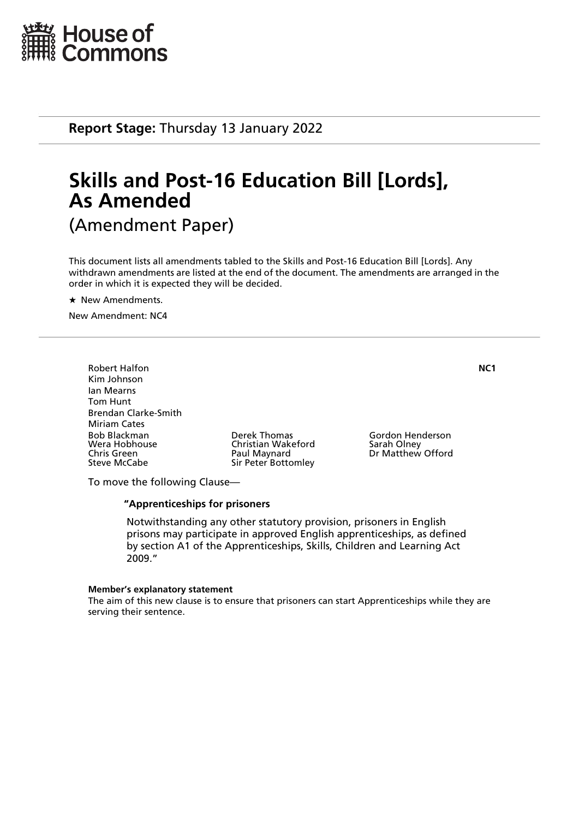

**Report Stage:** Thursday 13 January 2022

# **Skills and Post-16 Education Bill [Lords], As Amended** (Amendment Paper)

This document lists all amendments tabled to the Skills and Post-16 Education Bill [Lords]. Any withdrawn amendments are listed at the end of the document. The amendments are arranged in the order in which it is expected they will be decided.

 $\star$  New Amendments.

New Amendment: NC4

Robert Halfon **NC1** Kim Johnson Ian Mearns Tom Hunt Brendan Clarke-Smith Miriam Cates Bob Blackman Derek Thomas Gordon Henderson Wera Hobhouse Christian Wakeford<br>
Chris Green Christian Olau Paul Maynard Chris Green **Paul Maynard** Dr Matthew Offord Chris Green **Paul Maynard** Dr Matthew Offord

Sir Peter Bottomley

To move the following Clause—

#### **"Apprenticeships for prisoners**

 Notwithstanding any other statutory provision, prisoners in English prisons may participate in approved English apprenticeships, as defined by section A1 of the Apprenticeships, Skills, Children and Learning Act 2009."

#### **Member's explanatory statement**

The aim of this new clause is to ensure that prisoners can start Apprenticeships while they are serving their sentence.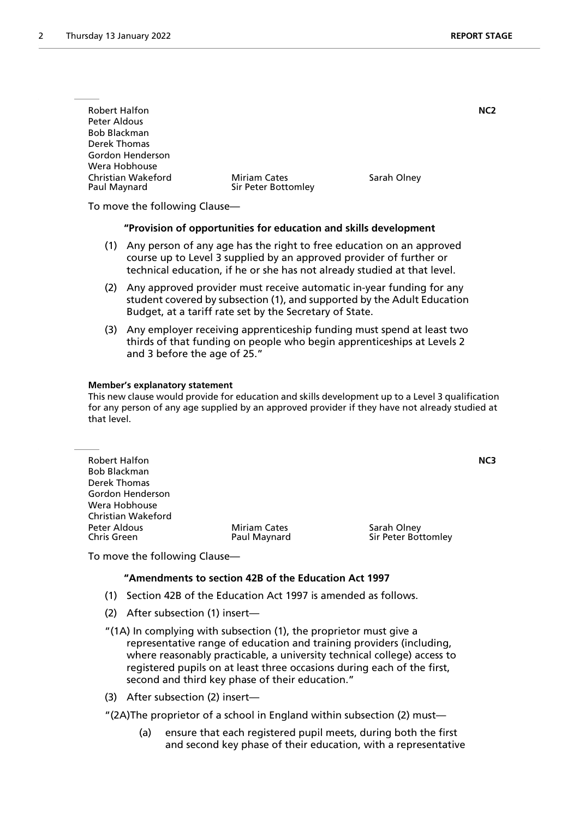| <b>Robert Halfon</b><br>Peter Aldous<br><b>Bob Blackman</b><br>Derek Thomas<br>Gordon Henderson |                                            |             | NC <sub>2</sub> |
|-------------------------------------------------------------------------------------------------|--------------------------------------------|-------------|-----------------|
| Wera Hobhouse<br>Christian Wakeford<br>Paul Maynard                                             | <b>Miriam Cates</b><br>Sir Peter Bottomley | Sarah Olney |                 |

To move the following Clause—

#### **"Provision of opportunities for education and skills development**

- (1) Any person of any age has the right to free education on an approved course up to Level 3 supplied by an approved provider of further or technical education, if he or she has not already studied at that level.
- (2) Any approved provider must receive automatic in-year funding for any student covered by subsection (1), and supported by the Adult Education Budget, at a tariff rate set by the Secretary of State.
- (3) Any employer receiving apprenticeship funding must spend at least two thirds of that funding on people who begin apprenticeships at Levels 2 and 3 before the age of 25."

#### **Member's explanatory statement**

This new clause would provide for education and skills development up to a Level 3 qualification for any person of any age supplied by an approved provider if they have not already studied at that level.

| <b>Robert Halfon</b>        |                                     | NC3                                |
|-----------------------------|-------------------------------------|------------------------------------|
| <b>Bob Blackman</b>         |                                     |                                    |
| Derek Thomas                |                                     |                                    |
| Gordon Henderson            |                                     |                                    |
| Wera Hobhouse               |                                     |                                    |
| <b>Christian Wakeford</b>   |                                     |                                    |
| Peter Aldous<br>Chris Green | <b>Miriam Cates</b><br>Paul Maynard | Sarah Olney<br>Sir Peter Bottomley |
|                             |                                     |                                    |

To move the following Clause—

#### **"Amendments to section 42B of the Education Act 1997**

- (1) Section 42B of the Education Act 1997 is amended as follows.
- (2) After subsection (1) insert—
- "(1A) In complying with subsection (1), the proprietor must give a representative range of education and training providers (including, where reasonably practicable, a university technical college) access to registered pupils on at least three occasions during each of the first, second and third key phase of their education."
- (3) After subsection (2) insert—
- "(2A)The proprietor of a school in England within subsection (2) must—
	- (a) ensure that each registered pupil meets, during both the first and second key phase of their education, with a representative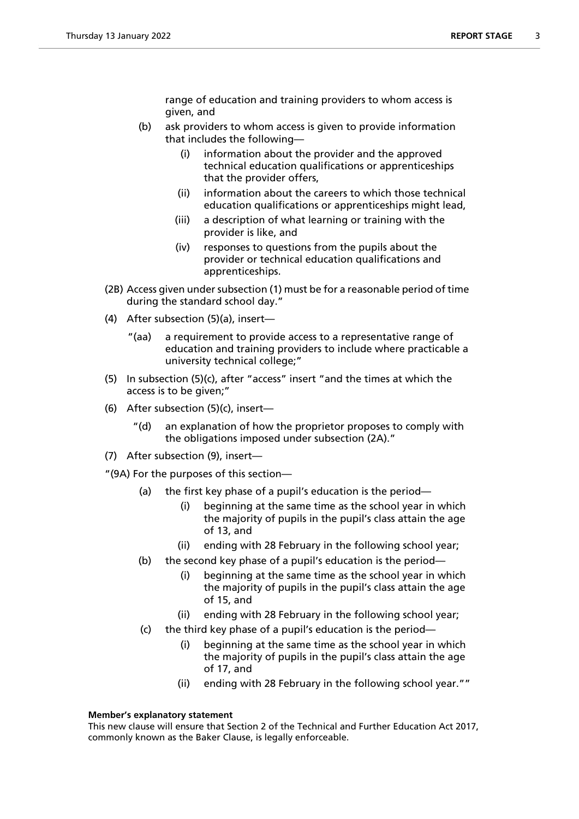range of education and training providers to whom access is given, and

- (b) ask providers to whom access is given to provide information that includes the following—
	- (i) information about the provider and the approved technical education qualifications or apprenticeships that the provider offers,
	- (ii) information about the careers to which those technical education qualifications or apprenticeships might lead,
	- (iii) a description of what learning or training with the provider is like, and
	- (iv) responses to questions from the pupils about the provider or technical education qualifications and apprenticeships.
- (2B) Access given under subsection (1) must be for a reasonable period of time during the standard school day."
- (4) After subsection (5)(a), insert—
	- "(aa) a requirement to provide access to a representative range of education and training providers to include where practicable a university technical college;"
- (5) In subsection (5)(c), after "access" insert "and the times at which the access is to be given;"
- (6) After subsection (5)(c), insert—
	- "(d) an explanation of how the proprietor proposes to comply with the obligations imposed under subsection (2A)."
- (7) After subsection (9), insert—

"(9A) For the purposes of this section—

- (a) the first key phase of a pupil's education is the period—
	- (i) beginning at the same time as the school year in which the majority of pupils in the pupil's class attain the age of 13, and
	- (ii) ending with 28 February in the following school year;
- (b) the second key phase of a pupil's education is the period—
	- (i) beginning at the same time as the school year in which the majority of pupils in the pupil's class attain the age of 15, and
	- (ii) ending with 28 February in the following school year;
- (c) the third key phase of a pupil's education is the period—
	- (i) beginning at the same time as the school year in which the majority of pupils in the pupil's class attain the age of 17, and
	- (ii) ending with 28 February in the following school year.""

## **Member's explanatory statement**

This new clause will ensure that Section 2 of the Technical and Further Education Act 2017, commonly known as the Baker Clause, is legally enforceable.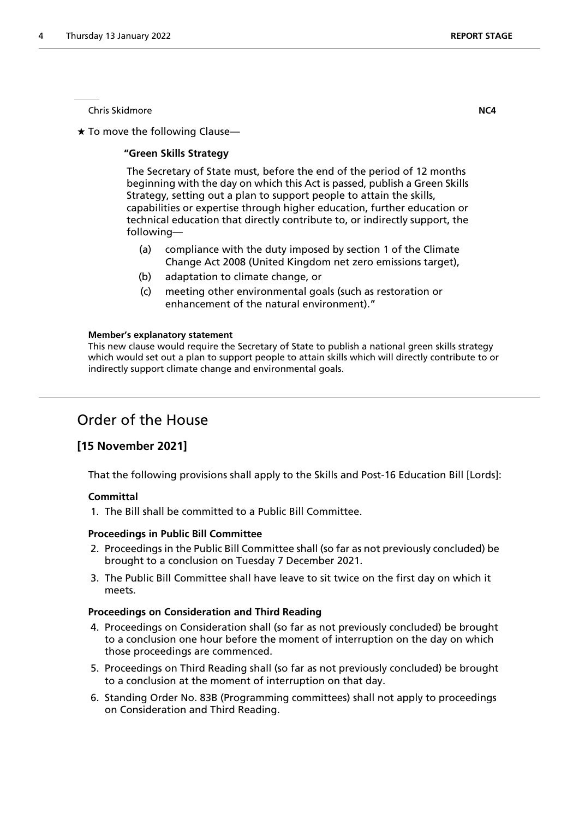Chris Skidmore **NC4**

 $\star$  To move the following Clause—

### **"Green Skills Strategy**

 The Secretary of State must, before the end of the period of 12 months beginning with the day on which this Act is passed, publish a Green Skills Strategy, setting out a plan to support people to attain the skills, capabilities or expertise through higher education, further education or technical education that directly contribute to, or indirectly support, the following—

- (a) compliance with the duty imposed by section 1 of the Climate Change Act 2008 (United Kingdom net zero emissions target),
- (b) adaptation to climate change, or
- (c) meeting other environmental goals (such as restoration or enhancement of the natural environment)."

#### **Member's explanatory statement**

This new clause would require the Secretary of State to publish a national green skills strategy which would set out a plan to support people to attain skills which will directly contribute to or indirectly support climate change and environmental goals.

# Order of the House

## **[15 November 2021]**

That the following provisions shall apply to the Skills and Post-16 Education Bill [Lords]:

#### **Committal**

1. The Bill shall be committed to a Public Bill Committee.

#### **Proceedings in Public Bill Committee**

- 2. Proceedings in the Public Bill Committee shall (so far as not previously concluded) be brought to a conclusion on Tuesday 7 December 2021.
- 3. The Public Bill Committee shall have leave to sit twice on the first day on which it meets.

#### **Proceedings on Consideration and Third Reading**

- 4. Proceedings on Consideration shall (so far as not previously concluded) be brought to a conclusion one hour before the moment of interruption on the day on which those proceedings are commenced.
- 5. Proceedings on Third Reading shall (so far as not previously concluded) be brought to a conclusion at the moment of interruption on that day.
- 6. Standing Order No. 83B (Programming committees) shall not apply to proceedings on Consideration and Third Reading.